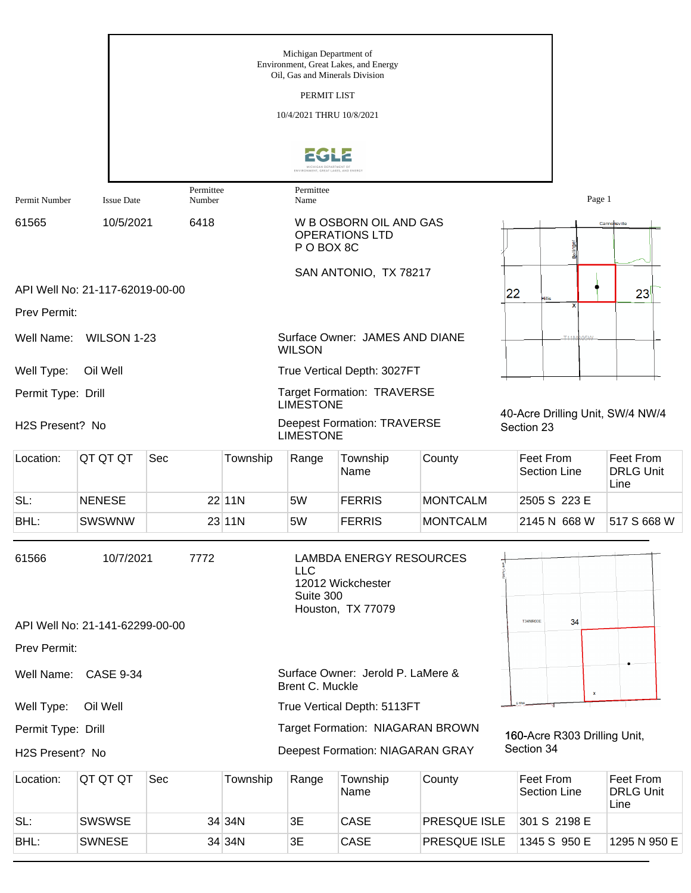|                    |                                 |                     |          | Michigan Department of<br>Oil, Gas and Minerals Division | Environment, Great Lakes, and Energy                                     |                 |                                                |                                       |
|--------------------|---------------------------------|---------------------|----------|----------------------------------------------------------|--------------------------------------------------------------------------|-----------------|------------------------------------------------|---------------------------------------|
|                    |                                 |                     |          | PERMIT LIST                                              |                                                                          |                 |                                                |                                       |
|                    |                                 |                     |          | 10/4/2021 THRU 10/8/2021                                 |                                                                          |                 |                                                |                                       |
|                    |                                 |                     |          |                                                          |                                                                          |                 |                                                |                                       |
|                    |                                 |                     |          | MICHIGAN DEPARTMENT OF                                   |                                                                          |                 |                                                |                                       |
| Permit Number      | <b>Issue Date</b>               | Permittee<br>Number |          | Permittee<br>Name                                        |                                                                          |                 | Page 1                                         |                                       |
| 61565              | 10/5/2021                       | 6418                |          | P O BOX 8C                                               | W B OSBORN OIL AND GAS<br><b>OPERATIONS LTD</b>                          |                 |                                                | Cannonsville                          |
|                    | API Well No: 21-117-62019-00-00 |                     |          |                                                          | SAN ANTONIO, TX 78217                                                    |                 |                                                |                                       |
| Prev Permit:       |                                 |                     |          |                                                          |                                                                          |                 | 22<br>illis                                    | 23                                    |
| Well Name:         | WILSON 1-23                     |                     |          | <b>WILSON</b>                                            | Surface Owner: JAMES AND DIANE                                           |                 | <b>T11N</b>                                    |                                       |
| Well Type:         | Oil Well                        |                     |          |                                                          | True Vertical Depth: 3027FT                                              |                 |                                                |                                       |
| Permit Type: Drill |                                 |                     |          | <b>LIMESTONE</b>                                         | <b>Target Formation: TRAVERSE</b>                                        |                 |                                                |                                       |
| H2S Present? No    |                                 |                     |          | <b>LIMESTONE</b>                                         | <b>Deepest Formation: TRAVERSE</b>                                       |                 | 40-Acre Drilling Unit, SW/4 NW/4<br>Section 23 |                                       |
| Location:          | QT QT QT                        | Sec                 | Township | Range                                                    | Township<br>Name                                                         | County          | Feet From<br><b>Section Line</b>               | Feet From<br><b>DRLG Unit</b><br>Line |
| SL:                | <b>NENESE</b>                   |                     | 22 11N   | 5W                                                       | <b>FERRIS</b>                                                            | <b>MONTCALM</b> | 2505 S 223 E                                   |                                       |
| BHL:               | <b>SWSWNW</b>                   |                     | 23 11N   | 5W                                                       | <b>FERRIS</b>                                                            | <b>MONTCALM</b> | 2145 N 668 W                                   | 517 S 668 W                           |
| 61566              | 10/7/2021                       | 7772                |          | <b>LLC</b><br>Suite 300                                  | <b>LAMBDA ENERGY RESOURCES</b><br>12012 Wickchester<br>Houston, TX 77079 |                 |                                                |                                       |
|                    | API Well No: 21-141-62299-00-00 |                     |          |                                                          |                                                                          |                 | <b>T34NR03E</b><br>34                          |                                       |
| Prev Permit:       |                                 |                     |          |                                                          |                                                                          |                 |                                                |                                       |
| Well Name:         | <b>CASE 9-34</b>                |                     |          | Brent C. Muckle                                          | Surface Owner: Jerold P. LaMere &                                        |                 | $\mathbf{x}$                                   |                                       |
| Well Type:         | Oil Well                        |                     |          |                                                          | True Vertical Depth: 5113FT                                              |                 |                                                |                                       |
| Permit Type: Drill |                                 |                     |          |                                                          | Target Formation: NIAGARAN BROWN                                         |                 | 160-Acre R303 Drilling Unit,                   |                                       |
| H2S Present? No    |                                 |                     |          |                                                          | Deepest Formation: NIAGARAN GRAY                                         |                 | Section 34                                     |                                       |
| Location:          | QT QT QT                        | Sec                 | Township | Range                                                    | Township<br>Name                                                         | County          | Feet From<br><b>Section Line</b>               | Feet From<br><b>DRLG Unit</b><br>Line |
| SL:                | SWSWSE                          |                     | 34 34N   | 3E                                                       | CASE                                                                     | PRESQUE ISLE    | 301 S 2198 E                                   |                                       |

BHL: SWNESE 34 34N 3E CASE PRESQUE ISLE 1345 S 950 E 1295 N 950 E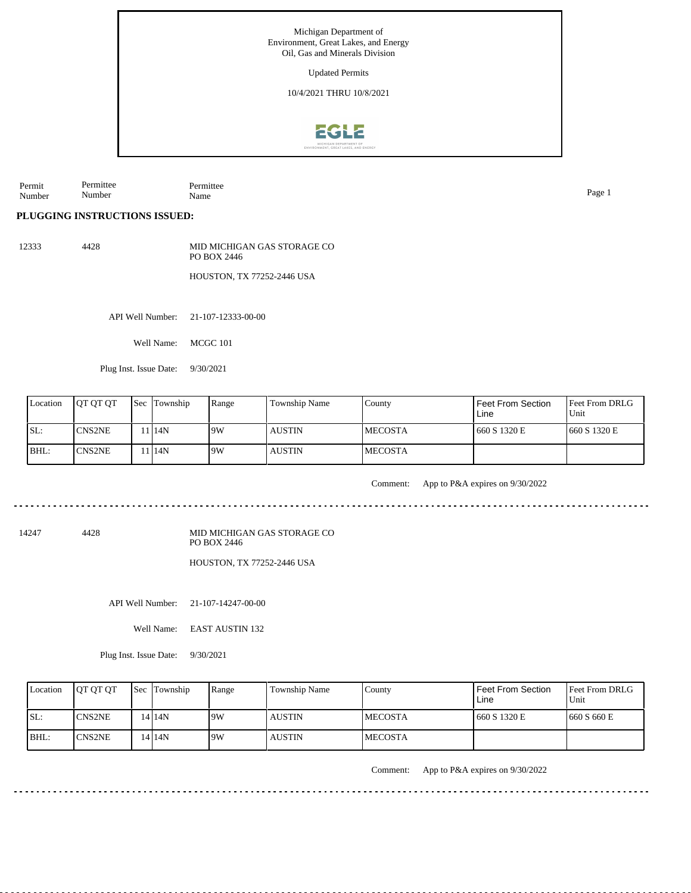

Permit Number Permittee Number Permittee Name Page 1

## **PLUGGING INSTRUCTIONS ISSUED:**

12333 4428 MID MICHIGAN GAS STORAGE CO PO BOX 2446

HOUSTON, TX 77252-2446 USA

API Well Number: 21-107-12333-00-00

Well Name: MCGC 101

Plug Inst. Issue Date: 9/30/2021

| Location | <b>IOT OT OT</b> | <b>Sec</b> Township | Range | Township Name | Countv          | Feet From Section<br>Line | <b>Feet From DRLG</b><br>Unit |
|----------|------------------|---------------------|-------|---------------|-----------------|---------------------------|-------------------------------|
| ISL:     | <b>CNS2NE</b>    | 11 I 14 N           | 19W   | l austin      | <b>IMECOSTA</b> | 660 S 1320 E              | 1660 S 1320 E                 |
| BHL:     | <b>CNS2NE</b>    | 11 I 14 N           | 19W   | AUSTIN        | <b>IMECOSTA</b> |                           |                               |

Comment: App to P&A expires on 9/30/2022

14247 4428

MID MICHIGAN GAS STORAGE CO PO BOX 2446

HOUSTON, TX 77252-2446 USA

API Well Number: 21-107-14247-00-00

Well Name: EAST AUSTIN 132

Plug Inst. Issue Date: 9/30/2021

| Location | <b>OT OT OT</b> | <b>Sec</b> Township | Range | <b>Township Name</b> | Countv         | <b>Feet From Section</b><br>Line | <b>Feet From DRLG</b><br>Unit |
|----------|-----------------|---------------------|-------|----------------------|----------------|----------------------------------|-------------------------------|
| ISL:     | <b>CNS2NE</b>   | 14 14 N             | 9W    | <b>AUSTIN</b>        | <b>MECOSTA</b> | 660 S 1320 E                     | 660 S 660 E                   |
| $IBHL$ : | ICNS2NE         | 14 I 14 N           | 9W    | <b>AUSTIN</b>        | <b>MECOSTA</b> |                                  |                               |

Comment: App to P&A expires on 9/30/2022

 $- - - - - - - - -$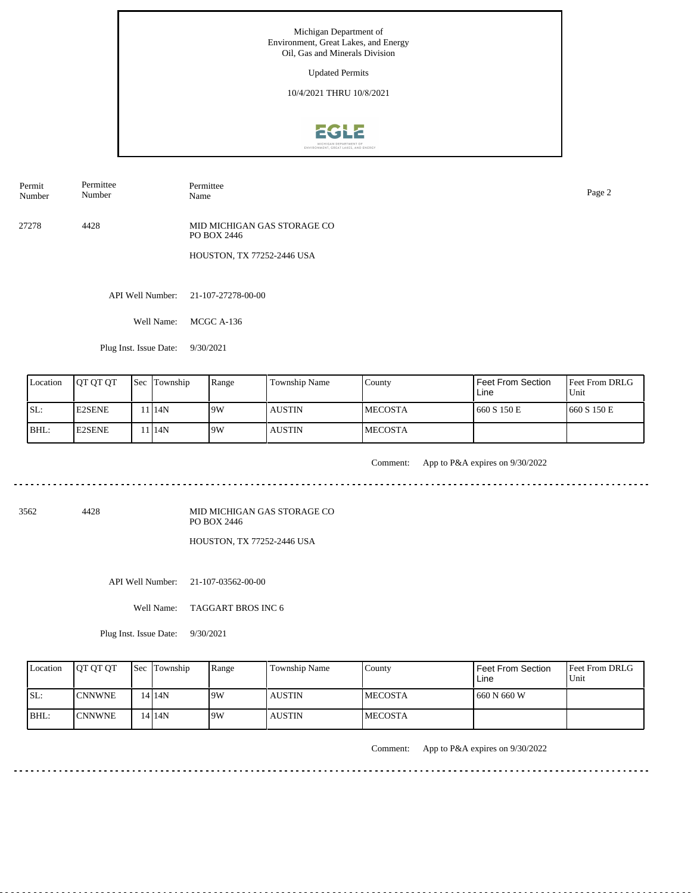Updated Permits

10/4/2021 THRU 10/8/2021



Permit Number Permittee Number

Name Page 2

Permittee

27278 4428 MID MICHIGAN GAS STORAGE CO PO BOX 2446

HOUSTON, TX 77252-2446 USA

API Well Number: 21-107-27278-00-00

Well Name: MCGC A-136

Plug Inst. Issue Date: 9/30/2021

| Location | <b>OT OT OT</b> | <b>Sec</b> Township | Range | Township Name | County          | Feet From Section<br>Line | <b>Feet From DRLG</b><br>Unit |
|----------|-----------------|---------------------|-------|---------------|-----------------|---------------------------|-------------------------------|
| SL:      | <b>E2SENE</b>   | 11 <sup>14</sup> N  | 19W   | <b>AUSTIN</b> | <b>IMECOSTA</b> | 660 S 150 E               | 1660 S 150 E                  |
| BHL:     | <b>E2SENE</b>   | 11 14N              | 19W   | <b>AUSTIN</b> | <b>IMECOSTA</b> |                           |                               |

. . . . . . .

Comment: App to P&A expires on 9/30/2022

3562 4428

MID MICHIGAN GAS STORAGE CO PO BOX 2446 HOUSTON, TX 77252-2446 USA

API Well Number: 21-107-03562-00-00

Well Name: TAGGART BROS INC 6

Plug Inst. Issue Date: 9/30/2021

| Location | <b>OT OT OT</b> | <b>Sec</b> Township | Range | <b>Township Name</b> | Countv          | <b>Feet From Section</b><br>Line | <b>Feet From DRLG</b><br>Unit |
|----------|-----------------|---------------------|-------|----------------------|-----------------|----------------------------------|-------------------------------|
| ISL:     | <b>ICNNWNE</b>  | $14$   $14N$        | 9W    | <b>AUSTIN</b>        | <b>IMECOSTA</b> | 660 N 660 W                      |                               |
| BHL:     | <b>ICNNWNE</b>  | 14 I 14 N           | 9W    | <b>AUSTIN</b>        | <b>IMECOSTA</b> |                                  |                               |

Comment: App to P&A expires on 9/30/2022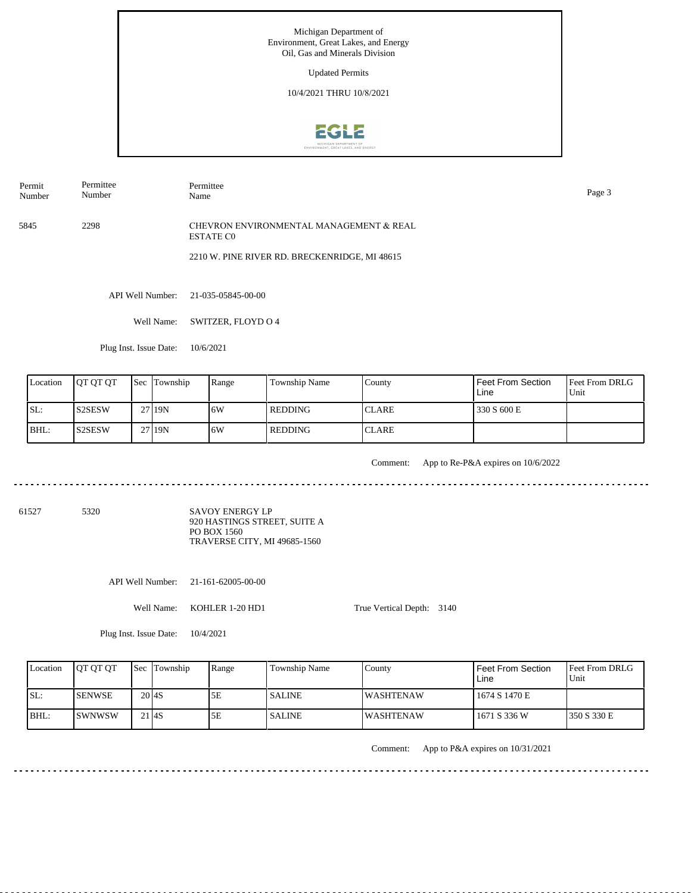Updated Permits

10/4/2021 THRU 10/8/2021



5845 2298 Permit Number Permittee Number Permittee Name CHEVRON ENVIRONMENTAL MANAGEMENT & REAL ESTATE C0 2210 W. PINE RIVER RD. BRECKENRIDGE, MI 48615 Page 3

API Well Number: 21-035-05845-00-00

Well Name: SWITZER, FLOYD O 4

Plug Inst. Issue Date: 10/6/2021

| Location | <b>OT OT OT</b> | <b>Sec Township</b> | Range | <b>Township Name</b> | County        | Feet From Section<br>Line | <b>Feet From DRLG</b><br>Unit |
|----------|-----------------|---------------------|-------|----------------------|---------------|---------------------------|-------------------------------|
| ISL:     | IS2SESW         | 27 19N              | 6W    | REDDING              | <b>CLARE</b>  | 330 S 600 E               |                               |
| BHL:     | <b>S2SESW</b>   | 27 19N              | 16W   | REDDING              | <b>ICLARE</b> |                           |                               |

<u>. . . . . . . . . . .</u>

Comment: App to Re-P&A expires on 10/6/2022

61527 5320

SAVOY ENERGY LP 920 HASTINGS STREET, SUITE A PO BOX 1560 TRAVERSE CITY, MI 49685-1560

API Well Number: 21-161-62005-00-00

Well Name: KOHLER 1-20 HD1

True Vertical Depth: 3140

Plug Inst. Issue Date: 10/4/2021

| Location | <b>IOT OT OT</b> | <b>Sec Township</b> | Range | <b>Township Name</b> | County            | Feet From Section<br>Line | <b>Feet From DRLG</b><br>Unit |
|----------|------------------|---------------------|-------|----------------------|-------------------|---------------------------|-------------------------------|
| ISL:     | <b>ISENWSE</b>   | $20$ <sub>4S</sub>  | 5Ε    | <b>SALINE</b>        | <b>IWASHTENAW</b> | 1674 S 1470 E             |                               |
| BHL:     | ISWNWSW          | $21$ $4S$           | 5Ε    | <b>SALINE</b>        | <b>IWASHTENAW</b> | 1671 S 336 W              | 1350 S 330 E                  |

Comment: App to P&A expires on 10/31/2021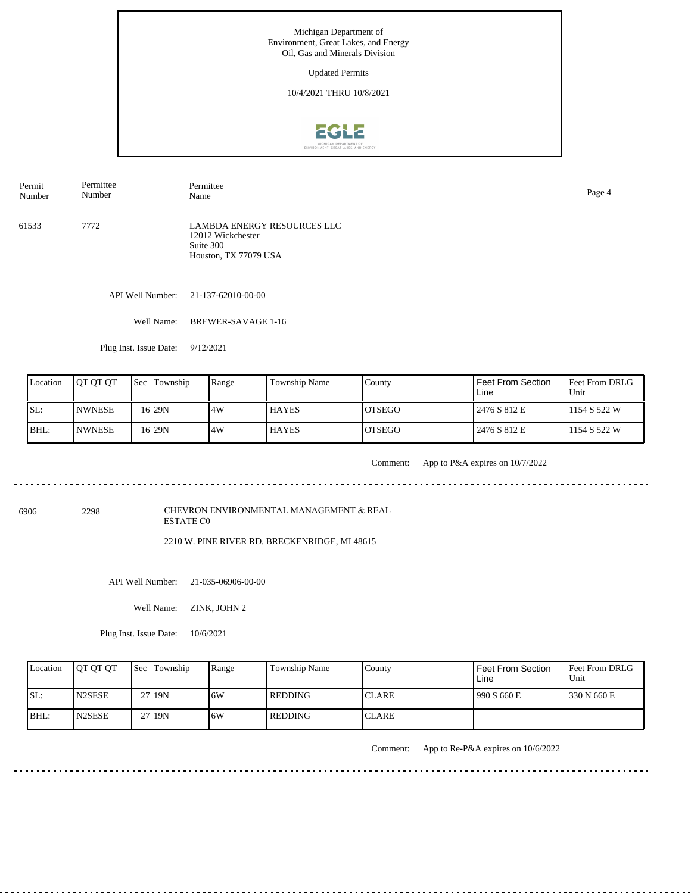Updated Permits

10/4/2021 THRU 10/8/2021



Name Page 4

Permit Number Permittee Number

61533 7772 LAMBDA ENERGY RESOURCES LLC 12012 Wickchester Suite 300

API Well Number: 21-137-62010-00-00

Well Name: BREWER-SAVAGE 1-16

Permittee

Houston, TX 77079 USA

Plug Inst. Issue Date: 9/12/2021

| Location | <b>IOT OT OT</b> | <b>Sec Township</b> | Range | <b>Township Name</b> | County         | Feet From Section<br>Line | <b>Feet From DRLG</b><br>Unit |
|----------|------------------|---------------------|-------|----------------------|----------------|---------------------------|-------------------------------|
| ISL:     | <b>INWNESE</b>   | 16 I 29 N           | 14W   | <b>HAYES</b>         | <b>IOTSEGO</b> | 2476 S 812 E              | 1154 S 522 W                  |
| BHL:     | <b>INWNESE</b>   | 16 29N              | 4W    | <b>HAYES</b>         | <b>LOTSEGO</b> | 2476 S 812 E              | 1154 S 522 W                  |

Comment: App to P&A expires on 10/7/2022

<u>. . . . . . . . . . .</u>

6906 2298

CHEVRON ENVIRONMENTAL MANAGEMENT & REAL ESTATE C0

2210 W. PINE RIVER RD. BRECKENRIDGE, MI 48615

API Well Number: 21-035-06906-00-00

Well Name: ZINK, JOHN 2

Plug Inst. Issue Date: 10/6/2021

| Location | <b>OT OT OT</b>     | <b>Sec Township</b> | Range | Township Name | County       | l Feet From Section<br>Line | <b>Feet From DRLG</b><br>Unit |
|----------|---------------------|---------------------|-------|---------------|--------------|-----------------------------|-------------------------------|
| ISL:     | N <sub>2</sub> SESE | 27 19N              | 6W    | l REDDING     | <b>CLARE</b> | 1990 S 660 E                | 1330 N 660 E                  |
| BHL:     | N <sub>2</sub> SESE | 27 19N              | 6W    | l redding-    | 'CLARE       |                             |                               |

Comment: App to Re-P&A expires on 10/6/2022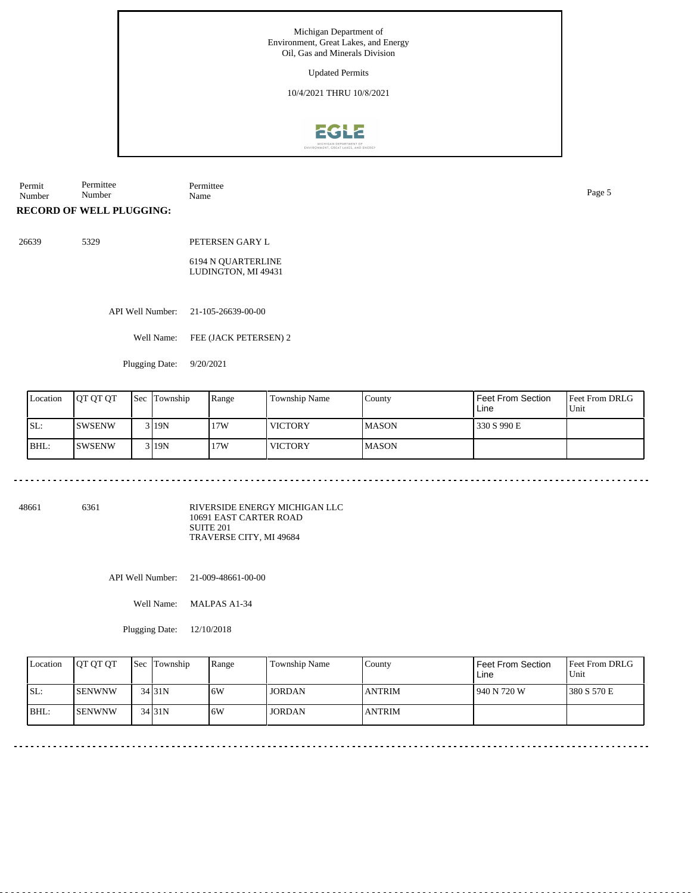Updated Permits

10/4/2021 THRU 10/8/2021



Permit Number Permittee Number Permittee Name Page 5

**RECORD OF WELL PLUGGING:**

26639 5329 PETERSEN GARY L 6194 N QUARTERLINE LUDINGTON, MI 49431

API Well Number: 21-105-26639-00-00

Well Name: FEE (JACK PETERSEN) 2

Plugging Date: 9/20/2021

| Location | <b>JOT OT OT</b> | <b>Sec</b> Township | Range | <b>Township Name</b> | County        | Feet From Section<br>Line | <b>Feet From DRLG</b><br>Unit |
|----------|------------------|---------------------|-------|----------------------|---------------|---------------------------|-------------------------------|
| SL:      | ISWSENW          | 3119N               | 17W   | <b>VICTORY</b>       | <b>IMASON</b> | 330 S 990 E               |                               |
| BHL:     | ISWSENW          | 3119N               | 17W   | <b>VICTORY</b>       | <b>IMASON</b> |                           |                               |

48661 6361

RIVERSIDE ENERGY MICHIGAN LLC 10691 EAST CARTER ROAD SUITE 201 TRAVERSE CITY, MI 49684

API Well Number: 21-009-48661-00-00

Well Name: MALPAS A1-34

Plugging Date: 12/10/2018

|      | Location | <b>IOT OT OT</b> | <b>Sec</b> Township | Range | <b>Township Name</b> | County        | Feet From Section<br>Line | <b>Feet From DRLG</b><br>Unit |
|------|----------|------------------|---------------------|-------|----------------------|---------------|---------------------------|-------------------------------|
| SL:  |          | ISENWNW          | $34$ 31N            | 6W    | <b>JORDAN</b>        | <b>ANTRIM</b> | 940 N 720 W               | 1380 S 570 E                  |
| BHL: |          | ISENWNW          | $34$ 31N            | 6W    | <b>JORDAN</b>        | <b>ANTRIM</b> |                           |                               |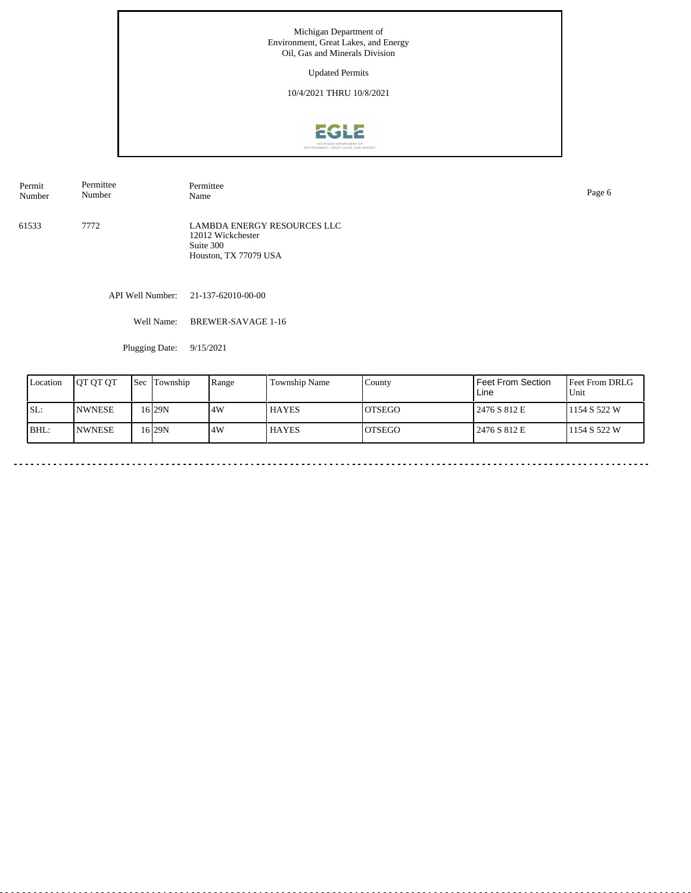Updated Permits

10/4/2021 THRU 10/8/2021



Permit Number Permittee Number Permittee<br>Name Name Page 6

61533 7772 LAMBDA ENERGY RESOURCES LLC 12012 Wickchester Suite 300 Houston, TX 77079 USA

API Well Number: 21-137-62010-00-00

Well Name: BREWER-SAVAGE 1-16

Plugging Date: 9/15/2021

| Location | <b>IOT OT OT</b> | Sec | Township  | Range | <b>Township Name</b> | County  | Feet From Section<br>Line | <b>Feet From DRLG</b><br>Unit |
|----------|------------------|-----|-----------|-------|----------------------|---------|---------------------------|-------------------------------|
| ISL:     | <b>INWNESE</b>   |     | 16 I 29 N | .4W   | <b>HAYES</b>         | IOTSEGO | 2476 S 812 E              | 1154 S 522 W                  |
| IBHL:    | <b>INWNESE</b>   |     | 16 I 29 N | .4W   | <b>HAYES</b>         | IOTSEGO | 2476 S 812 E              | 1154 S 522 W                  |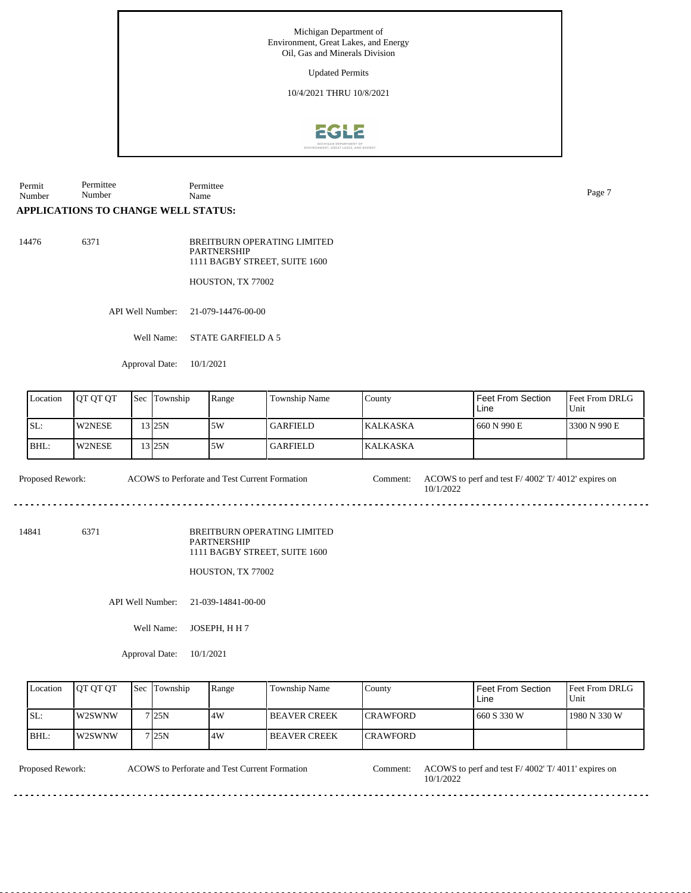Updated Permits

10/4/2021 THRU 10/8/2021



Permit Number Permittee Number Permittee Name Page 7

## **APPLICATIONS TO CHANGE WELL STATUS:**

14476 6371

BREITBURN OPERATING LIMITED PARTNERSHIP 1111 BAGBY STREET, SUITE 1600

HOUSTON, TX 77002

API Well Number: 21-079-14476-00-00

Well Name: STATE GARFIELD A 5

Approval Date: 10/1/2021

| Location | IOT OT OT     | <b>Sec Township</b> | Range | <b>Township Name</b> | County           | Feet From Section<br>Line | Feet From DRLG<br>Unit |
|----------|---------------|---------------------|-------|----------------------|------------------|---------------------------|------------------------|
| SL:      | <b>W2NESE</b> | 13 25 N             | 5W    | <b>GARFIELD</b>      | <b>IKALKASKA</b> | 660 N 990 E               | 3300 N 990 E           |
| BHL:     | W2NESE        | 13 I25N             | 5W    | <b>GARFIELD</b>      | <b>KALKASKA</b>  |                           |                        |

Proposed Rework: ACOWS to Perforate and Test Current Formation Comment: ACOWS to perf and test F/ 4002' T/ 4012' expires on ACOWS to Perforate and Test Current Formation

14841 6371

BREITBURN OPERATING LIMITED PARTNERSHIP 1111 BAGBY STREET, SUITE 1600

HOUSTON, TX 77002

API Well Number: 21-039-14841-00-00

Well Name: JOSEPH, H H 7

Approval Date: 10/1/2021

| Location | <b>IOT OT OT</b> | <b>Sec</b> Township | Range | Township Name       | County           | Feet From Section<br>Line | <b>Feet From DRLG</b><br>Unit |
|----------|------------------|---------------------|-------|---------------------|------------------|---------------------------|-------------------------------|
| ISL:     | W2SWNW           | 7 I 25 N            | .4W   | <b>BEAVER CREEK</b> | <b>ICRAWFORD</b> | 660 S 330 W               | 1980 N 330 W                  |
| BHL:     | W2SWNW           | 7125N               | 4W    | <b>BEAVER CREEK</b> | <b>ICRAWFORD</b> |                           |                               |

ACOWS to Perforate and Test Current Formation

Proposed Rework: ACOWS to Perforate and Test Current Formation Comment: ACOWS to perf and test F/ 4002' T/ 4011' expires on 10/1/2022

10/1/2022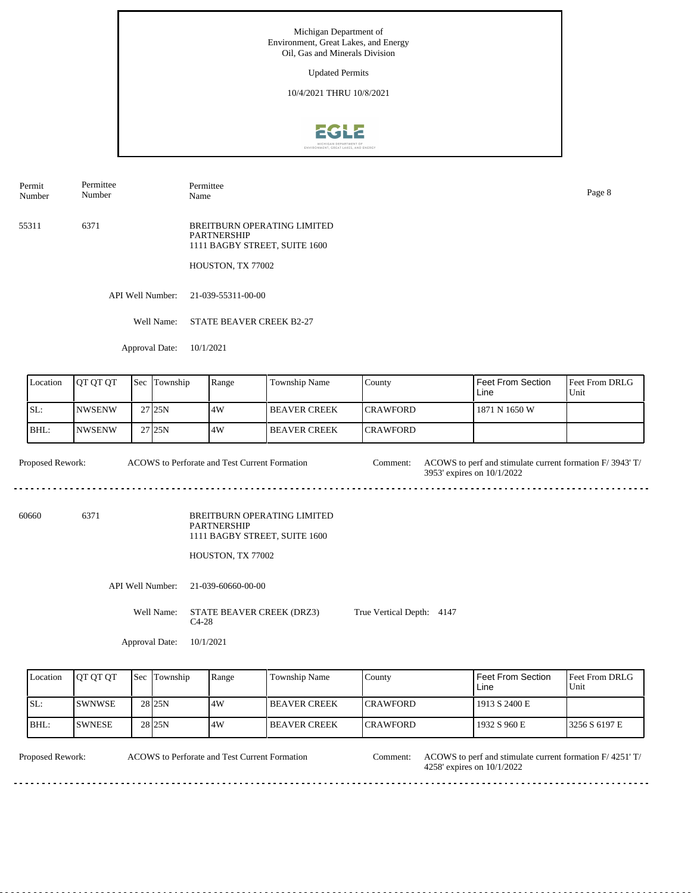Updated Permits

10/4/2021 THRU 10/8/2021



Permit Number Permittee Number

Permittee Name Page 8

55311 6371 BREITBURN OPERATING LIMITED PARTNERSHIP 1111 BAGBY STREET, SUITE 1600

HOUSTON, TX 77002

API Well Number: 21-039-55311-00-00

Well Name: STATE BEAVER CREEK B2-27

Approval Date: 10/1/2021

| Location | <b>IOT OT OT</b> | <b>Sec</b> Township | Range | <b>Township Name</b> | County           | Feet From Section<br>Line | <b>Feet From DRLG</b><br>Unit |
|----------|------------------|---------------------|-------|----------------------|------------------|---------------------------|-------------------------------|
| ISL:     | <b>INWSENW</b>   | 27 25 N             | .4W   | <b>IBEAVER CREEK</b> | <b>ICRAWFORD</b> | 1871 N 1650 W             |                               |
| IBHL:    | <b>INWSENW</b>   | 27 <sub>125N</sub>  | .4W   | <b>IBEAVER CREEK</b> | <b>ICRAWFORD</b> |                           |                               |

Proposed Rework: ACOWS to Perforate and Test Current Formation Comment: ACOWS to perf and stimulate current formation F/ 3943' T/ ACOWS to Perforate and Test Current Formation 3953' expires on 10/1/2022 

60660 6371

BREITBURN OPERATING LIMITED PARTNERSHIP 1111 BAGBY STREET, SUITE 1600

HOUSTON, TX 77002

. . . . . . . . . . . .

API Well Number: 21-039-60660-00-00

Well Name: STATE BEAVER CREEK (DRZ3) C4-28 True Vertical Depth: 4147

Approval Date: 10/1/2021

| Location | <b>IOT OT OT</b> | <b>Sec Township</b> | Range | Township Name        | Countv           | <b>Feet From Section</b><br>Line | <b>Feet From DRLG</b><br>Unit |
|----------|------------------|---------------------|-------|----------------------|------------------|----------------------------------|-------------------------------|
| ISL:     | <b>ISWNWSE</b>   | 28 <sub>25N</sub>   | .4W   | <b>IBEAVER CREEK</b> | <b>ICRAWFORD</b> | 1913 S 2400 E                    |                               |
| BHL:     | <b>ISWNESE</b>   | 28 <sub>25N</sub>   | .4W   | <b>BEAVER CREEK</b>  | <b>ICRAWFORD</b> | 1932 S 960 E                     | 13256 S 6197 E                |

ACOWS to Perforate and Test Current Formation

Proposed Rework: ACOWS to Perforate and Test Current Formation Comment: ACOWS to perf and stimulate current formation F/ 4251' T/ 4258' expires on 10/1/2022 Comment: